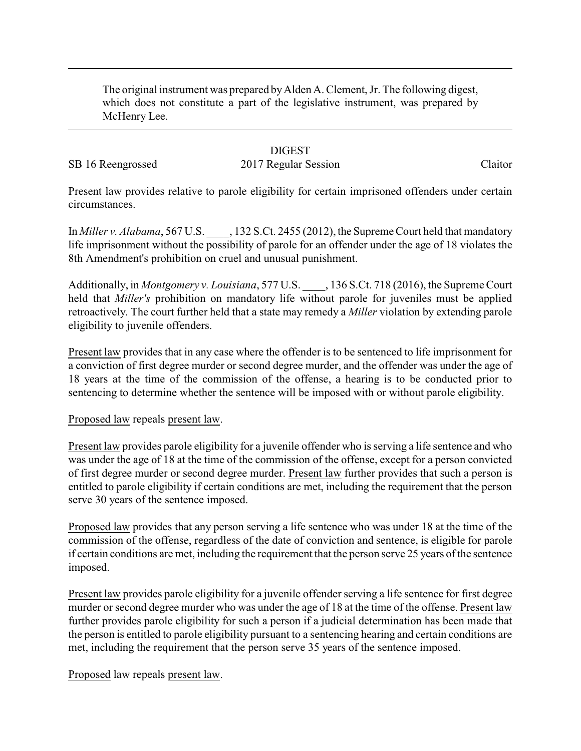The original instrument was prepared byAlden A. Clement, Jr. The following digest, which does not constitute a part of the legislative instrument, was prepared by McHenry Lee.

### **DIGEST**

# SB 16 Reengrossed 2017 Regular Session Claitor

Present law provides relative to parole eligibility for certain imprisoned offenders under certain circumstances.

In *Miller v. Alabama*, 567 U.S. \_\_\_\_, 132 S.Ct. 2455 (2012), the Supreme Court held that mandatory life imprisonment without the possibility of parole for an offender under the age of 18 violates the 8th Amendment's prohibition on cruel and unusual punishment.

Additionally, in *Montgomery v. Louisiana*, 577 U.S. \_\_\_\_, 136 S.Ct. 718 (2016), the Supreme Court held that *Miller's* prohibition on mandatory life without parole for juveniles must be applied retroactively. The court further held that a state may remedy a *Miller* violation by extending parole eligibility to juvenile offenders.

Present law provides that in any case where the offender is to be sentenced to life imprisonment for a conviction of first degree murder or second degree murder, and the offender was under the age of 18 years at the time of the commission of the offense, a hearing is to be conducted prior to sentencing to determine whether the sentence will be imposed with or without parole eligibility.

#### Proposed law repeals present law.

Present law provides parole eligibility for a juvenile offender who is serving a life sentence and who was under the age of 18 at the time of the commission of the offense, except for a person convicted of first degree murder or second degree murder. Present law further provides that such a person is entitled to parole eligibility if certain conditions are met, including the requirement that the person serve 30 years of the sentence imposed.

Proposed law provides that any person serving a life sentence who was under 18 at the time of the commission of the offense, regardless of the date of conviction and sentence, is eligible for parole if certain conditions are met, including the requirement that the person serve 25 years of the sentence imposed.

Present law provides parole eligibility for a juvenile offender serving a life sentence for first degree murder or second degree murder who was under the age of 18 at the time of the offense. Present law further provides parole eligibility for such a person if a judicial determination has been made that the person is entitled to parole eligibility pursuant to a sentencing hearing and certain conditions are met, including the requirement that the person serve 35 years of the sentence imposed.

Proposed law repeals present law.